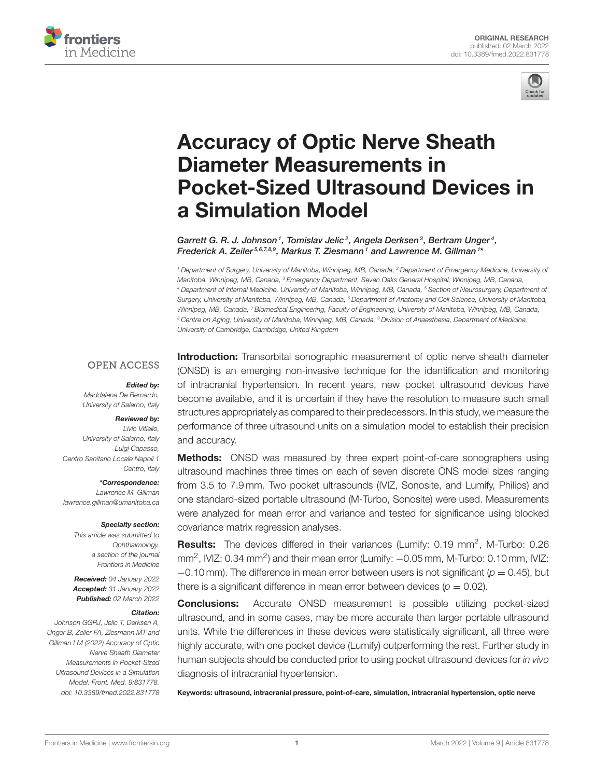



# Accuracy of Optic Nerve Sheath Diameter Measurements in [Pocket-Sized Ultrasound Devices in](https://www.frontiersin.org/articles/10.3389/fmed.2022.831778/full) a Simulation Model

Garrett G. R. J. Johnson<sup>1</sup>, Tomislav Jelic<sup>2</sup>, Angela Derksen<sup>3</sup>, Bertram Unger<sup>4</sup>, Frederick A. Zeiler<sup>5,6,7,8,9</sup>, Markus T. Ziesmann<sup>1</sup> and Lawrence M. Gillman<sup>1\*</sup>

*<sup>1</sup> Department of Surgery, University of Manitoba, Winnipeg, MB, Canada, <sup>2</sup> Department of Emergency Medicine, University of Manitoba, Winnipeg, MB, Canada, <sup>3</sup> Emergency Department, Seven Oaks General Hospital, Winnipeg, MB, Canada, <sup>4</sup> Department of Internal Medicine, University of Manitoba, Winnipeg, MB, Canada, <sup>5</sup> Section of Neurosurgery, Department of Surgery, University of Manitoba, Winnipeg, MB, Canada, <sup>6</sup> Department of Anatomy and Cell Science, University of Manitoba, Winnipeg, MB, Canada, <sup>7</sup> Biomedical Engineering, Faculty of Engineering, University of Manitoba, Winnipeg, MB, Canada, <sup>8</sup> Centre on Aging, University of Manitoba, Winnipeg, MB, Canada, <sup>9</sup> Division of Anaesthesia, Department of Medicine, University of Cambridge, Cambridge, United Kingdom*

#### **OPEN ACCESS**

# Edited by:

*Maddalena De Bernardo, University of Salerno, Italy*

#### Reviewed by:

*Livio Vitiello, University of Salerno, Italy Luigi Capasso, Centro Sanitario Locale Napoli 1 Centro, Italy*

\*Correspondence: *Lawrence M. Gillman [lawrence.gillman@umanitoba.ca](mailto:lawrence.gillman@umanitoba.ca)*

#### Specialty section:

*This article was submitted to Ophthalmology, a section of the journal Frontiers in Medicine*

Received: *04 January 2022* Accepted: *31 January 2022* Published: *02 March 2022*

#### Citation:

*Johnson GGRJ, Jelic T, Derksen A, Unger B, Zeiler FA, Ziesmann MT and Gillman LM (2022) Accuracy of Optic Nerve Sheath Diameter Measurements in Pocket-Sized Ultrasound Devices in a Simulation Model. Front. Med. 9:831778. doi: [10.3389/fmed.2022.831778](https://doi.org/10.3389/fmed.2022.831778)* **Introduction:** Transorbital sonographic measurement of optic nerve sheath diameter (ONSD) is an emerging non-invasive technique for the identification and monitoring of intracranial hypertension. In recent years, new pocket ultrasound devices have become available, and it is uncertain if they have the resolution to measure such small structures appropriately as compared to their predecessors. In this study, we measure the performance of three ultrasound units on a simulation model to establish their precision and accuracy.

**Methods:** ONSD was measured by three expert point-of-care sonographers using ultrasound machines three times on each of seven discrete ONS model sizes ranging from 3.5 to 7.9 mm. Two pocket ultrasounds (IVIZ, Sonosite, and Lumify, Philips) and one standard-sized portable ultrasound (M-Turbo, Sonosite) were used. Measurements were analyzed for mean error and variance and tested for significance using blocked covariance matrix regression analyses.

Results: The devices differed in their variances (Lumify: 0.19 mm<sup>2</sup>, M-Turbo: 0.26 mm<sup>2</sup>, IVIZ: 0.34 mm<sup>2</sup>) and their mean error (Lumify:  $-0.05$  mm, M-Turbo: 0.10 mm, IVIZ: −0.10 mm). The difference in mean error between users is not significant (*p* = 0.45), but there is a significant difference in mean error between devices ( $p = 0.02$ ).

Conclusions: Accurate ONSD measurement is possible utilizing pocket-sized ultrasound, and in some cases, may be more accurate than larger portable ultrasound units. While the differences in these devices were statistically significant, all three were highly accurate, with one pocket device (Lumify) outperforming the rest. Further study in human subjects should be conducted prior to using pocket ultrasound devices for *in vivo* diagnosis of intracranial hypertension.

Keywords: ultrasound, intracranial pressure, point-of-care, simulation, intracranial hypertension, optic nerve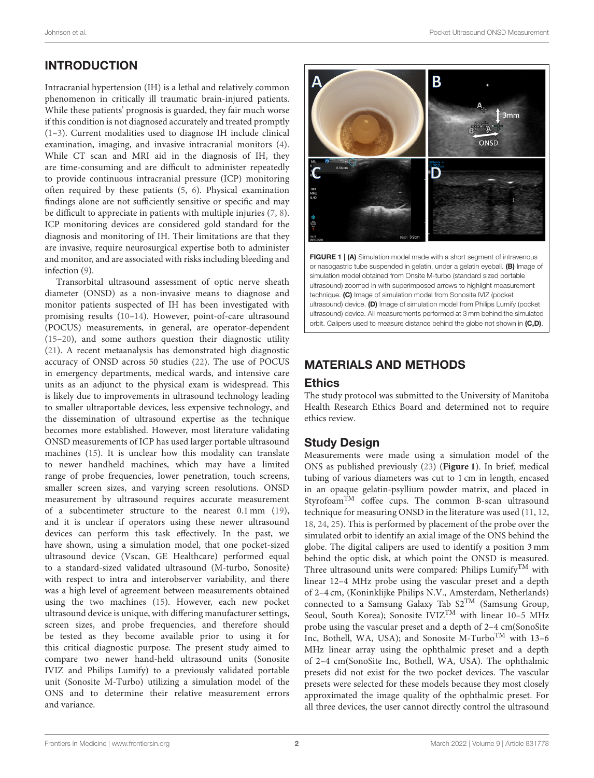# INTRODUCTION

Intracranial hypertension (IH) is a lethal and relatively common phenomenon in critically ill traumatic brain-injured patients. While these patients' prognosis is guarded, they fair much worse if this condition is not diagnosed accurately and treated promptly [\(1–](#page-6-0)[3\)](#page-6-1). Current modalities used to diagnose IH include clinical examination, imaging, and invasive intracranial monitors [\(4\)](#page-6-2). While CT scan and MRI aid in the diagnosis of IH, they are time-consuming and are difficult to administer repeatedly to provide continuous intracranial pressure (ICP) monitoring often required by these patients [\(5,](#page-6-3) [6\)](#page-6-4). Physical examination findings alone are not sufficiently sensitive or specific and may be difficult to appreciate in patients with multiple injuries [\(7,](#page-6-5) [8\)](#page-6-6). ICP monitoring devices are considered gold standard for the diagnosis and monitoring of IH. Their limitations are that they are invasive, require neurosurgical expertise both to administer and monitor, and are associated with risks including bleeding and infection [\(9\)](#page-6-7).

Transorbital ultrasound assessment of optic nerve sheath diameter (ONSD) as a non-invasive means to diagnose and monitor patients suspected of IH has been investigated with promising results [\(10–](#page-6-8)[14\)](#page-6-9). However, point-of-care ultrasound (POCUS) measurements, in general, are operator-dependent [\(15](#page-6-10)[–20\)](#page-7-0), and some authors question their diagnostic utility [\(21\)](#page-7-1). A recent metaanalysis has demonstrated high diagnostic accuracy of ONSD across 50 studies [\(22\)](#page-7-2). The use of POCUS in emergency departments, medical wards, and intensive care units as an adjunct to the physical exam is widespread. This is likely due to improvements in ultrasound technology leading to smaller ultraportable devices, less expensive technology, and the dissemination of ultrasound expertise as the technique becomes more established. However, most literature validating ONSD measurements of ICP has used larger portable ultrasound machines [\(15\)](#page-6-10). It is unclear how this modality can translate to newer handheld machines, which may have a limited range of probe frequencies, lower penetration, touch screens, smaller screen sizes, and varying screen resolutions. ONSD measurement by ultrasound requires accurate measurement of a subcentimeter structure to the nearest 0.1 mm [\(19\)](#page-6-11), and it is unclear if operators using these newer ultrasound devices can perform this task effectively. In the past, we have shown, using a simulation model, that one pocket-sized ultrasound device (Vscan, GE Healthcare) performed equal to a standard-sized validated ultrasound (M-turbo, Sonosite) with respect to intra and interobserver variability, and there was a high level of agreement between measurements obtained using the two machines [\(15\)](#page-6-10). However, each new pocket ultrasound device is unique, with differing manufacturer settings, screen sizes, and probe frequencies, and therefore should be tested as they become available prior to using it for this critical diagnostic purpose. The present study aimed to compare two newer hand-held ultrasound units (Sonosite IVIZ and Philips Lumify) to a previously validated portable unit (Sonosite M-Turbo) utilizing a simulation model of the ONS and to determine their relative measurement errors and variance.



<span id="page-1-0"></span>FIGURE 1 | (A) Simulation model made with a short segment of intravenous or nasogastric tube suspended in gelatin, under a gelatin eyeball. (B) Image of simulation model obtained from Onsite M-turbo (standard sized portable ultrasound) zoomed in with superimposed arrows to highlight measurement technique. (C) Image of simulation model from Sonosite IVIZ (pocket ultrasound) device. (D) Image of simulation model from Philips Lumify (pocket ultrasound) device. All measurements performed at 3 mm behind the simulated orbit. Calipers used to measure distance behind the globe not shown in (C,D).

# MATERIALS AND METHODS

## Ethics

The study protocol was submitted to the University of Manitoba Health Research Ethics Board and determined not to require ethics review.

# Study Design

Measurements were made using a simulation model of the ONS as published previously [\(23\)](#page-7-3) (**[Figure 1](#page-1-0)**). In brief, medical tubing of various diameters was cut to 1 cm in length, encased in an opaque gelatin-psyllium powder matrix, and placed in Styrofoam<sup>TM</sup> coffee cups. The common B-scan ultrasound technique for measuring ONSD in the literature was used [\(11,](#page-6-12) [12,](#page-6-13) [18,](#page-6-14) [24,](#page-7-4) [25\)](#page-7-5). This is performed by placement of the probe over the simulated orbit to identify an axial image of the ONS behind the globe. The digital calipers are used to identify a position 3 mm behind the optic disk, at which point the ONSD is measured. Three ultrasound units were compared: Philips LumifyTM with linear 12–4 MHz probe using the vascular preset and a depth of 2–4 cm, (Koninklijke Philips N.V., Amsterdam, Netherlands) connected to a Samsung Galaxy Tab S2TM (Samsung Group, Seoul, South Korea); Sonosite IVIZ<sup>TM</sup> with linear 10-5 MHz probe using the vascular preset and a depth of 2–4 cm(SonoSite Inc, Bothell, WA, USA); and Sonosite M-Turbo<sup>TM</sup> with 13-6 MHz linear array using the ophthalmic preset and a depth of 2–4 cm(SonoSite Inc, Bothell, WA, USA). The ophthalmic presets did not exist for the two pocket devices. The vascular presets were selected for these models because they most closely approximated the image quality of the ophthalmic preset. For all three devices, the user cannot directly control the ultrasound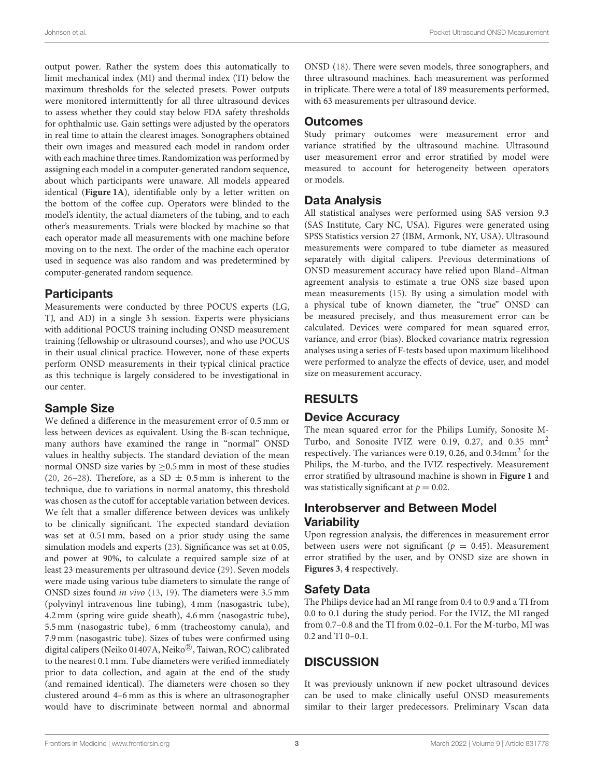output power. Rather the system does this automatically to limit mechanical index (MI) and thermal index (TI) below the maximum thresholds for the selected presets. Power outputs were monitored intermittently for all three ultrasound devices to assess whether they could stay below FDA safety thresholds for ophthalmic use. Gain settings were adjusted by the operators in real time to attain the clearest images. Sonographers obtained their own images and measured each model in random order with each machine three times. Randomization was performed by assigning each model in a computer-generated random sequence, about which participants were unaware. All models appeared identical (**[Figure 1A](#page-1-0)**), identifiable only by a letter written on the bottom of the coffee cup. Operators were blinded to the model's identity, the actual diameters of the tubing, and to each other's measurements. Trials were blocked by machine so that each operator made all measurements with one machine before moving on to the next. The order of the machine each operator used in sequence was also random and was predetermined by computer-generated random sequence.

## **Participants**

Measurements were conducted by three POCUS experts (LG, TJ, and AD) in a single 3 h session. Experts were physicians with additional POCUS training including ONSD measurement training (fellowship or ultrasound courses), and who use POCUS in their usual clinical practice. However, none of these experts perform ONSD measurements in their typical clinical practice as this technique is largely considered to be investigational in our center.

# Sample Size

We defined a difference in the measurement error of 0.5 mm or less between devices as equivalent. Using the B-scan technique, many authors have examined the range in "normal" ONSD values in healthy subjects. The standard deviation of the mean normal ONSD size varies by  $\geq$ 0.5 mm in most of these studies [\(20,](#page-7-0) [26–](#page-7-6)[28\)](#page-7-7). Therefore, as a SD  $\pm$  0.5 mm is inherent to the technique, due to variations in normal anatomy, this threshold was chosen as the cutoff for acceptable variation between devices. We felt that a smaller difference between devices was unlikely to be clinically significant. The expected standard deviation was set at 0.51 mm, based on a prior study using the same simulation models and experts [\(23\)](#page-7-3). Significance was set at 0.05, and power at 90%, to calculate a required sample size of at least 23 measurements per ultrasound device [\(29\)](#page-7-8). Seven models were made using various tube diameters to simulate the range of ONSD sizes found in vivo [\(13,](#page-6-15) [19\)](#page-6-11). The diameters were 3.5 mm (polyvinyl intravenous line tubing), 4 mm (nasogastric tube), 4.2 mm (spring wire guide sheath), 4.6 mm (nasogastric tube), 5.5 mm (nasogastric tube), 6 mm (tracheostomy canula), and 7.9 mm (nasogastric tube). Sizes of tubes were confirmed using digital calipers (Neiko 01407A, Neiko®, Taiwan, ROC) calibrated to the nearest 0.1 mm. Tube diameters were verified immediately prior to data collection, and again at the end of the study (and remained identical). The diameters were chosen so they clustered around 4–6 mm as this is where an ultrasonographer would have to discriminate between normal and abnormal

ONSD [\(18\)](#page-6-14). There were seven models, three sonographers, and three ultrasound machines. Each measurement was performed in triplicate. There were a total of 189 measurements performed, with 63 measurements per ultrasound device.

# **Outcomes**

Study primary outcomes were measurement error and variance stratified by the ultrasound machine. Ultrasound user measurement error and error stratified by model were measured to account for heterogeneity between operators or models.

# Data Analysis

All statistical analyses were performed using SAS version 9.3 (SAS Institute, Cary NC, USA). Figures were generated using SPSS Statistics version 27 (IBM, Armonk, NY, USA). Ultrasound measurements were compared to tube diameter as measured separately with digital calipers. Previous determinations of ONSD measurement accuracy have relied upon Bland–Altman agreement analysis to estimate a true ONS size based upon mean measurements [\(15\)](#page-6-10). By using a simulation model with a physical tube of known diameter, the "true" ONSD can be measured precisely, and thus measurement error can be calculated. Devices were compared for mean squared error, variance, and error (bias). Blocked covariance matrix regression analyses using a series of F-tests based upon maximum likelihood were performed to analyze the effects of device, user, and model size on measurement accuracy.

# RESULTS

# Device Accuracy

The mean squared error for the Philips Lumify, Sonosite M-Turbo, and Sonosite IVIZ were 0.19, 0.27, and 0.35 mm<sup>2</sup> respectively. The variances were 0.19, 0.26, and 0.34mm<sup>2</sup> for the Philips, the M-turbo, and the IVIZ respectively. Measurement error stratified by ultrasound machine is shown in **[Figure 1](#page-1-0)** and was statistically significant at  $p = 0.02$ .

# Interobserver and Between Model **Variability**

Upon regression analysis, the differences in measurement error between users were not significant ( $p = 0.45$ ). Measurement error stratified by the user, and by ONSD size are shown in **[Figures 3](#page-3-0)**, **[4](#page-4-0)** respectively.

# Safety Data

The Philips device had an MI range from 0.4 to 0.9 and a TI from 0.0 to 0.1 during the study period. For the IVIZ, the MI ranged from 0.7–0.8 and the TI from 0.02–0.1. For the M-turbo, MI was 0.2 and TI 0–0.1.

# **DISCUSSION**

It was previously unknown if new pocket ultrasound devices can be used to make clinically useful ONSD measurements similar to their larger predecessors. Preliminary Vscan data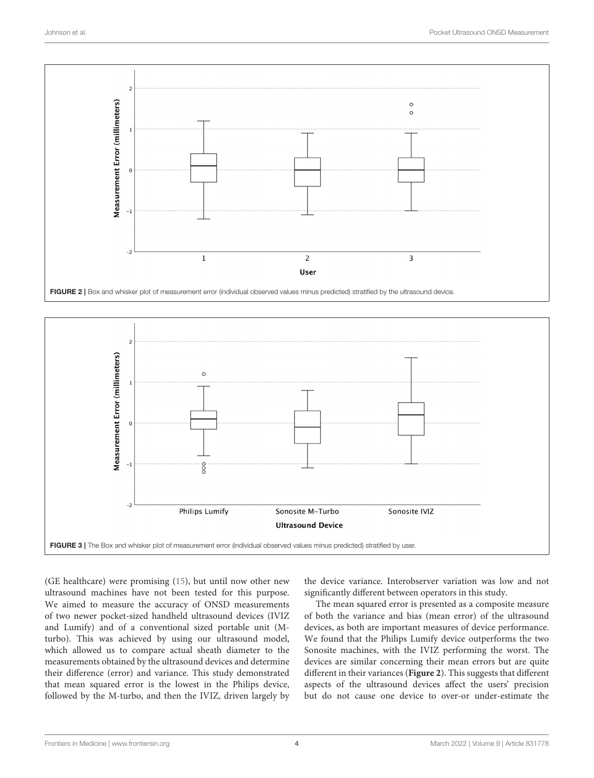

<span id="page-3-1"></span>

<span id="page-3-0"></span>(GE healthcare) were promising [\(15\)](#page-6-10), but until now other new ultrasound machines have not been tested for this purpose. We aimed to measure the accuracy of ONSD measurements of two newer pocket-sized handheld ultrasound devices (IVIZ and Lumify) and of a conventional sized portable unit (Mturbo). This was achieved by using our ultrasound model, which allowed us to compare actual sheath diameter to the measurements obtained by the ultrasound devices and determine their difference (error) and variance. This study demonstrated that mean squared error is the lowest in the Philips device, followed by the M-turbo, and then the IVIZ, driven largely by the device variance. Interobserver variation was low and not significantly different between operators in this study.

The mean squared error is presented as a composite measure of both the variance and bias (mean error) of the ultrasound devices, as both are important measures of device performance. We found that the Philips Lumify device outperforms the two Sonosite machines, with the IVIZ performing the worst. The devices are similar concerning their mean errors but are quite different in their variances (**[Figure 2](#page-3-1)**). This suggests that different aspects of the ultrasound devices affect the users' precision but do not cause one device to over-or under-estimate the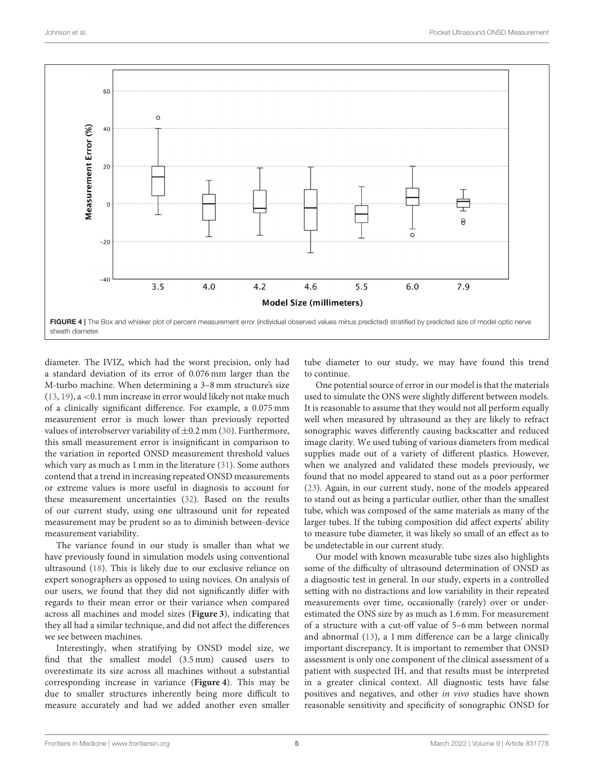

<span id="page-4-0"></span>diameter. The IVIZ, which had the worst precision, only had a standard deviation of its error of 0.076 mm larger than the M-turbo machine. When determining a 3–8 mm structure's size  $(13, 19)$  $(13, 19)$  $(13, 19)$ , a <0.1 mm increase in error would likely not make much of a clinically significant difference. For example, a 0.075 mm measurement error is much lower than previously reported values of interobserver variability of  $\pm$ 0.2 mm [\(30\)](#page-7-9). Furthermore, this small measurement error is insignificant in comparison to the variation in reported ONSD measurement threshold values which vary as much as 1 mm in the literature [\(31\)](#page-7-10). Some authors contend that a trend in increasing repeated ONSD measurements or extreme values is more useful in diagnosis to account for these measurement uncertainties [\(32\)](#page-7-11). Based on the results of our current study, using one ultrasound unit for repeated measurement may be prudent so as to diminish between-device measurement variability.

The variance found in our study is smaller than what we have previously found in simulation models using conventional ultrasound [\(18\)](#page-6-14). This is likely due to our exclusive reliance on expert sonographers as opposed to using novices. On analysis of our users, we found that they did not significantly differ with regards to their mean error or their variance when compared across all machines and model sizes (**[Figure 3](#page-3-0)**), indicating that they all had a similar technique, and did not affect the differences we see between machines.

Interestingly, when stratifying by ONSD model size, we find that the smallest model (3.5 mm) caused users to overestimate its size across all machines without a substantial corresponding increase in variance (**[Figure 4](#page-4-0)**). This may be due to smaller structures inherently being more difficult to measure accurately and had we added another even smaller tube diameter to our study, we may have found this trend to continue.

One potential source of error in our model is that the materials used to simulate the ONS were slightly different between models. It is reasonable to assume that they would not all perform equally well when measured by ultrasound as they are likely to refract sonographic waves differently causing backscatter and reduced image clarity. We used tubing of various diameters from medical supplies made out of a variety of different plastics. However, when we analyzed and validated these models previously, we found that no model appeared to stand out as a poor performer [\(23\)](#page-7-3). Again, in our current study, none of the models appeared to stand out as being a particular outlier, other than the smallest tube, which was composed of the same materials as many of the larger tubes. If the tubing composition did affect experts' ability to measure tube diameter, it was likely so small of an effect as to be undetectable in our current study.

Our model with known measurable tube sizes also highlights some of the difficulty of ultrasound determination of ONSD as a diagnostic test in general. In our study, experts in a controlled setting with no distractions and low variability in their repeated measurements over time, occasionally (rarely) over or underestimated the ONS size by as much as 1.6 mm. For measurement of a structure with a cut-off value of 5–6 mm between normal and abnormal [\(13\)](#page-6-15), a 1 mm difference can be a large clinically important discrepancy. It is important to remember that ONSD assessment is only one component of the clinical assessment of a patient with suspected IH, and that results must be interpreted in a greater clinical context. All diagnostic tests have false positives and negatives, and other in vivo studies have shown reasonable sensitivity and specificity of sonographic ONSD for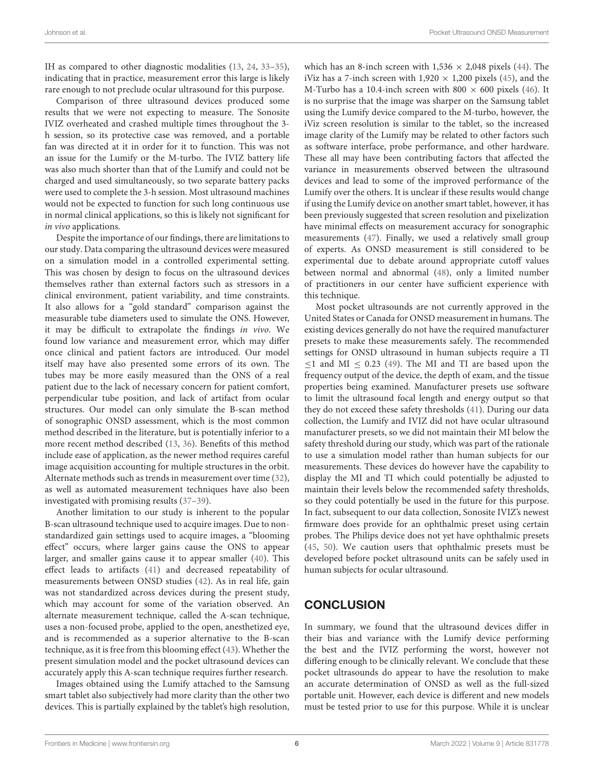IH as compared to other diagnostic modalities [\(13,](#page-6-15) [24,](#page-7-4) [33–](#page-7-12)[35\)](#page-7-13), indicating that in practice, measurement error this large is likely rare enough to not preclude ocular ultrasound for this purpose.

Comparison of three ultrasound devices produced some results that we were not expecting to measure. The Sonosite IVIZ overheated and crashed multiple times throughout the 3 h session, so its protective case was removed, and a portable fan was directed at it in order for it to function. This was not an issue for the Lumify or the M-turbo. The IVIZ battery life was also much shorter than that of the Lumify and could not be charged and used simultaneously, so two separate battery packs were used to complete the 3-h session. Most ultrasound machines would not be expected to function for such long continuous use in normal clinical applications, so this is likely not significant for in vivo applications.

Despite the importance of our findings, there are limitations to our study. Data comparing the ultrasound devices were measured on a simulation model in a controlled experimental setting. This was chosen by design to focus on the ultrasound devices themselves rather than external factors such as stressors in a clinical environment, patient variability, and time constraints. It also allows for a "gold standard" comparison against the measurable tube diameters used to simulate the ONS. However, it may be difficult to extrapolate the findings in vivo. We found low variance and measurement error, which may differ once clinical and patient factors are introduced. Our model itself may have also presented some errors of its own. The tubes may be more easily measured than the ONS of a real patient due to the lack of necessary concern for patient comfort, perpendicular tube position, and lack of artifact from ocular structures. Our model can only simulate the B-scan method of sonographic ONSD assessment, which is the most common method described in the literature, but is potentially inferior to a more recent method described [\(13,](#page-6-15) [36\)](#page-7-14). Benefits of this method include ease of application, as the newer method requires careful image acquisition accounting for multiple structures in the orbit. Alternate methods such as trends in measurement over time [\(32\)](#page-7-11), as well as automated measurement techniques have also been investigated with promising results [\(37](#page-7-15)[–39\)](#page-7-16).

Another limitation to our study is inherent to the popular B-scan ultrasound technique used to acquire images. Due to nonstandardized gain settings used to acquire images, a "blooming effect" occurs, where larger gains cause the ONS to appear larger, and smaller gains cause it to appear smaller [\(40\)](#page-7-17). This effect leads to artifacts [\(41\)](#page-7-18) and decreased repeatability of measurements between ONSD studies [\(42\)](#page-7-19). As in real life, gain was not standardized across devices during the present study, which may account for some of the variation observed. An alternate measurement technique, called the A-scan technique, uses a non-focused probe, applied to the open, anesthetized eye, and is recommended as a superior alternative to the B-scan technique, as it is free from this blooming effect [\(43\)](#page-7-20). Whether the present simulation model and the pocket ultrasound devices can accurately apply this A-scan technique requires further research.

Images obtained using the Lumify attached to the Samsung smart tablet also subjectively had more clarity than the other two devices. This is partially explained by the tablet's high resolution, which has an 8-inch screen with  $1,536 \times 2,048$  pixels [\(44\)](#page-7-21). The iViz has a 7-inch screen with  $1,920 \times 1,200$  pixels [\(45\)](#page-7-22), and the M-Turbo has a 10.4-inch screen with 800  $\times$  600 pixels [\(46\)](#page-7-23). It is no surprise that the image was sharper on the Samsung tablet using the Lumify device compared to the M-turbo, however, the iViz screen resolution is similar to the tablet, so the increased image clarity of the Lumify may be related to other factors such as software interface, probe performance, and other hardware. These all may have been contributing factors that affected the variance in measurements observed between the ultrasound devices and lead to some of the improved performance of the Lumify over the others. It is unclear if these results would change if using the Lumify device on another smart tablet, however, it has been previously suggested that screen resolution and pixelization have minimal effects on measurement accuracy for sonographic measurements [\(47\)](#page-7-24). Finally, we used a relatively small group of experts. As ONSD measurement is still considered to be experimental due to debate around appropriate cutoff values between normal and abnormal [\(48\)](#page-7-25), only a limited number of practitioners in our center have sufficient experience with this technique.

Most pocket ultrasounds are not currently approved in the United States or Canada for ONSD measurement in humans. The existing devices generally do not have the required manufacturer presets to make these measurements safely. The recommended settings for ONSD ultrasound in human subjects require a TI  $\leq$ 1 and MI  $\leq$  0.23 [\(49\)](#page-7-26). The MI and TI are based upon the frequency output of the device, the depth of exam, and the tissue properties being examined. Manufacturer presets use software to limit the ultrasound focal length and energy output so that they do not exceed these safety thresholds [\(41\)](#page-7-18). During our data collection, the Lumify and IVIZ did not have ocular ultrasound manufacturer presets, so we did not maintain their MI below the safety threshold during our study, which was part of the rationale to use a simulation model rather than human subjects for our measurements. These devices do however have the capability to display the MI and TI which could potentially be adjusted to maintain their levels below the recommended safety thresholds, so they could potentially be used in the future for this purpose. In fact, subsequent to our data collection, Sonosite IVIZ's newest firmware does provide for an ophthalmic preset using certain probes. The Philips device does not yet have ophthalmic presets [\(45,](#page-7-22) [50\)](#page-7-27). We caution users that ophthalmic presets must be developed before pocket ultrasound units can be safely used in human subjects for ocular ultrasound.

### **CONCLUSION**

In summary, we found that the ultrasound devices differ in their bias and variance with the Lumify device performing the best and the IVIZ performing the worst, however not differing enough to be clinically relevant. We conclude that these pocket ultrasounds do appear to have the resolution to make an accurate determination of ONSD as well as the full-sized portable unit. However, each device is different and new models must be tested prior to use for this purpose. While it is unclear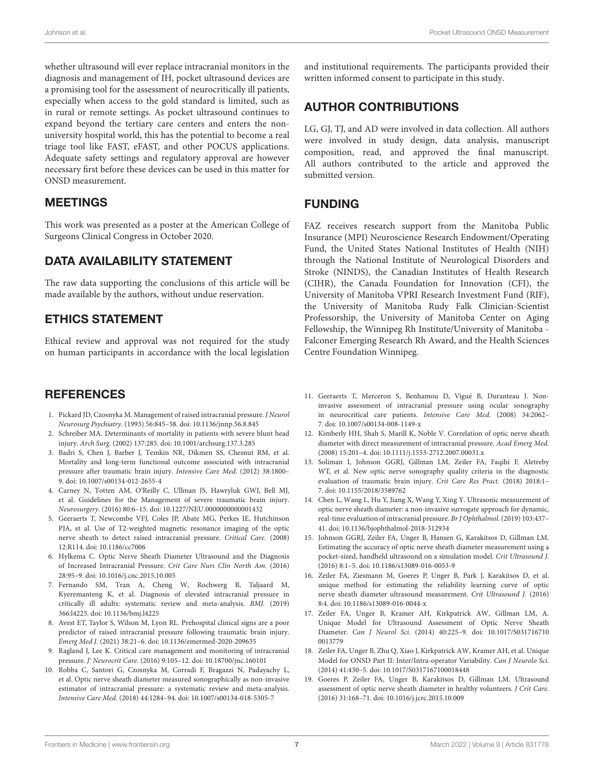whether ultrasound will ever replace intracranial monitors in the diagnosis and management of IH, pocket ultrasound devices are a promising tool for the assessment of neurocritically ill patients, especially when access to the gold standard is limited, such as in rural or remote settings. As pocket ultrasound continues to expand beyond the tertiary care centers and enters the nonuniversity hospital world, this has the potential to become a real triage tool like FAST, eFAST, and other POCUS applications. Adequate safety settings and regulatory approval are however necessary first before these devices can be used in this matter for ONSD measurement.

### MEETINGS

This work was presented as a poster at the American College of Surgeons Clinical Congress in October 2020.

#### DATA AVAILABILITY STATEMENT

The raw data supporting the conclusions of this article will be made available by the authors, without undue reservation.

# ETHICS STATEMENT

Ethical review and approval was not required for the study on human participants in accordance with the local legislation

### **REFERENCES**

- <span id="page-6-0"></span>1. Pickard JD, Czosnyka M. Management of raised intracranial pressure. J Neurol Neurosurg Psychiatry. (1993) 56:845–58. doi: [10.1136/jnnp.56.8.845](https://doi.org/10.1136/jnnp.56.8.845)
- 2. Schreiber MA. Determinants of mortality in patients with severe blunt head injury. Arch Surg. (2002) 137:285. doi: [10.1001/archsurg.137.3.285](https://doi.org/10.1001/archsurg.137.3.285)
- <span id="page-6-1"></span>3. Badri S, Chen J, Barber J, Temkin NR, Dikmen SS, Chesnut RM, et al. Mortality and long-term functional outcome associated with intracranial pressure after traumatic brain injury. Intensive Care Med. (2012) 38:1800– 9. doi: [10.1007/s00134-012-2655-4](https://doi.org/10.1007/s00134-012-2655-4)
- <span id="page-6-2"></span>4. Carney N, Totten AM, O'Reilly C, Ullman JS, Hawryluk GWJ, Bell MJ, et al. Guidelines for the Management of severe traumatic brain injury. Neurosurgery. (2016) 80:6–15. doi: [10.1227/NEU.0000000000001432](https://doi.org/10.1227/NEU.0000000000001432)
- <span id="page-6-3"></span>5. Geeraerts T, Newcombe VFJ, Coles JP, Abate MG, Perkes IE, Hutchinson PJA, et al. Use of T2-weighted magnetic resonance imaging of the optic nerve sheath to detect raised intracranial pressure. Critical Care. (2008) 12:R114. doi: [10.1186/cc7006](https://doi.org/10.1186/cc7006)
- <span id="page-6-4"></span>6. Hylkema C. Optic Nerve Sheath Diameter Ultrasound and the Diagnosis of Increased Intracranial Pressure. Crit Care Nurs Clin North Am. (2016) 28:95–9. doi: [10.1016/j.cnc.2015.10.005](https://doi.org/10.1016/j.cnc.2015.10.005)
- <span id="page-6-5"></span>7. Fernando SM, Tran A, Cheng W, Rochwerg B, Taljaard M, Kyeremanteng K, et al. Diagnosis of elevated intracranial pressure in critically ill adults: systematic review and meta-analysis. BMJ. (2019) 366:l4225. doi: [10.1136/bmj.l4225](https://doi.org/10.1136/bmj.l4225)
- <span id="page-6-6"></span>8. Avest ET, Taylor S, Wilson M, Lyon RL. Prehospital clinical signs are a poor predictor of raised intracranial pressure following traumatic brain injury. Emerg Med J. (2021) 38:21–6. doi: [10.1136/emermed-2020-209635](https://doi.org/10.1136/emermed-2020-209635)
- <span id="page-6-7"></span>9. Ragland J, Lee K. Critical care management and monitoring of intracranial pressure. J' Neurocrit Care. (2016) 9:105–12. doi: [10.18700/jnc.160101](https://doi.org/10.18700/jnc.160101)
- <span id="page-6-8"></span>10. Robba C, Santori G, Czosnyka M, Corradi F, Bragazzi N, Padayachy L, et al. Optic nerve sheath diameter measured sonographically as non-invasive estimator of intracranial pressure: a systematic review and meta-analysis. Intensive Care Med. (2018) 44:1284–94. doi: [10.1007/s00134-018-5305-7](https://doi.org/10.1007/s00134-018-5305-7)

and institutional requirements. The participants provided their written informed consent to participate in this study.

## AUTHOR CONTRIBUTIONS

LG, GJ, TJ, and AD were involved in data collection. All authors were involved in study design, data analysis, manuscript composition, read, and approved the final manuscript. All authors contributed to the article and approved the submitted version.

### FUNDING

FAZ receives research support from the Manitoba Public Insurance (MPI) Neuroscience Research Endowment/Operating Fund, the United States National Institutes of Health (NIH) through the National Institute of Neurological Disorders and Stroke (NINDS), the Canadian Institutes of Health Research (CIHR), the Canada Foundation for Innovation (CFI), the University of Manitoba VPRI Research Investment Fund (RIF), the University of Manitoba Rudy Falk Clinician-Scientist Professorship, the University of Manitoba Center on Aging Fellowship, the Winnipeg Rh Institute/University of Manitoba - Falconer Emerging Research Rh Award, and the Health Sciences Centre Foundation Winnipeg.

- <span id="page-6-12"></span>11. Geeraerts T, Merceron S, Benhamou D, Vigué B, Duranteau J. Noninvasive assessment of intracranial pressure using ocular sonography in neurocritical care patients. Intensive Care Med. (2008) 34:2062– 7. doi: [10.1007/s00134-008-1149-x](https://doi.org/10.1007/s00134-008-1149-x)
- <span id="page-6-13"></span>12. Kimberly HH, Shah S, Marill K, Noble V. Correlation of optic nerve sheath diameter with direct measurement of intracranial pressure. Acad Emerg Med. (2008) 15:201–4. doi: [10.1111/j.1553-2712.2007.00031.x](https://doi.org/10.1111/j.1553-2712.2007.00031.x)
- <span id="page-6-15"></span>13. Soliman I, Johnson GGRJ, Gillman LM, Zeiler FA, Faqihi F, Aletreby WT, et al. New optic nerve sonography quality criteria in the diagnostic evaluation of traumatic brain injury. Crit Care Res Pract. (2018) 2018:1– 7. doi: [10.1155/2018/3589762](https://doi.org/10.1155/2018/3589762)
- <span id="page-6-9"></span>14. Chen L, Wang L, Hu Y, Jiang X, Wang Y, Xing Y. Ultrasonic measurement of optic nerve sheath diameter: a non-invasive surrogate approach for dynamic, real-time evaluation of intracranial pressure. Br J Ophthalmol. (2019) 103:437– 41. doi: [10.1136/bjophthalmol-2018-312934](https://doi.org/10.1136/bjophthalmol-2018-312934)
- <span id="page-6-10"></span>15. Johnson GGRJ, Zeiler FA, Unger B, Hansen G, Karakitsos D, Gillman LM. Estimating the accuracy of optic nerve sheath diameter measurement using a pocket-sized, handheld ultrasound on a simulation model. Crit Ultrasound J. (2016) 8:1–5. doi: [10.1186/s13089-016-0053-9](https://doi.org/10.1186/s13089-016-0053-9)
- 16. Zeiler FA, Ziesmann M, Goeres P, Unger B, Park J, Karakitsos D, et al. unique method for estimating the reliability learning curve of optic nerve sheath diameter ultrasound measurement. Crit Ultrasound J. (2016) 8:4. doi: [10.1186/s13089-016-0044-x](https://doi.org/10.1186/s13089-016-0044-x)
- 17. Zeiler FA, Unger B, Kramer AH, Kirkpatrick AW, Gillman LM, A. Unique Model for Ultrasound Assessment of Optic Nerve Sheath Diameter. Can J Neurol Sci. [\(2014\) 40:225–9. doi: 10.1017/S031716710](https://doi.org/10.1017/S0317167100013779) 0013779
- <span id="page-6-14"></span>18. Zeiler FA, Unger B, Zhu Q, Xiao J, Kirkpatrick AW, Kramer AH, et al. Unique Model for ONSD Part II: Inter/Intra-operator Variability. Can J Neurolo Sci. (2014) 41:430–5. doi: [10.1017/S0317167100018448](https://doi.org/10.1017/S0317167100018448)
- <span id="page-6-11"></span>19. Goeres P, Zeiler FA, Unger B, Karakitsos D, Gillman LM. Ultrasound assessment of optic nerve sheath diameter in healthy volunteers. J Crit Care. (2016) 31:168–71. doi: [10.1016/j.jcrc.2015.10.009](https://doi.org/10.1016/j.jcrc.2015.10.009)